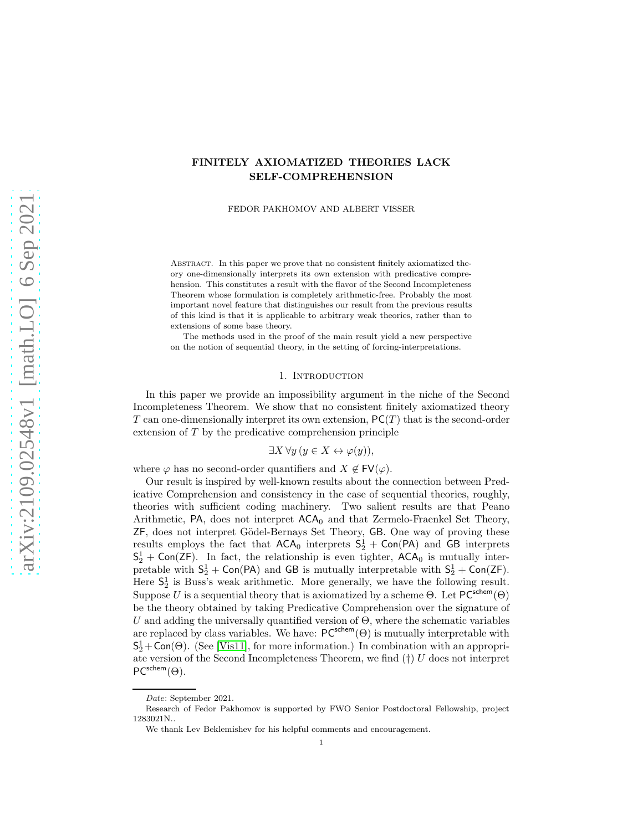# FINITELY AXIOMATIZED THEORIES LACK SELF-COMPREHENSION

FEDOR PAKHOMOV AND ALBERT VISSER

Abstract. In this paper we prove that no consistent finitely axiomatized theory one-dimensionally interprets its own extension with predicative comprehension. This constitutes a result with the flavor of the Second Incompleteness Theorem whose formulation is completely arithmetic-free. Probably the most important novel feature that distinguishes our result from the previous results of this kind is that it is applicable to arbitrary weak theories, rather than to extensions of some base theory.

The methods used in the proof of the main result yield a new perspective on the notion of sequential theory, in the setting of forcing-interpretations.

#### 1. INTRODUCTION

In this paper we provide an impossibility argument in the niche of the Second Incompleteness Theorem. We show that no consistent finitely axiomatized theory T can one-dimensionally interpret its own extension,  $PC(T)$  that is the second-order extension of T by the predicative comprehension principle

$$
\exists X \,\forall y \,(y \in X \leftrightarrow \varphi(y)),
$$

where  $\varphi$  has no second-order quantifiers and  $X \notin \mathsf{FV}(\varphi)$ .

Our result is inspired by well-known results about the connection between Predicative Comprehension and consistency in the case of sequential theories, roughly, theories with sufficient coding machinery. Two salient results are that Peano Arithmetic, PA, does not interpret  $ACA_0$  and that Zermelo-Fraenkel Set Theory, ZF, does not interpret Gödel-Bernays Set Theory, GB. One way of proving these results employs the fact that  $ACA_0$  interprets  $S_2^1 + Con(PA)$  and GB interprets  $S_2^1$  + Con(ZF). In fact, the relationship is even tighter, ACA<sub>0</sub> is mutually interpretable with  $S_2^1$  + Con(PA) and GB is mutually interpretable with  $S_2^1$  + Con(ZF). Here  $S_2^1$  is Buss's weak arithmetic. More generally, we have the following result. Suppose U is a sequential theory that is axiomatized by a scheme  $\Theta$ . Let  $PC^{schem}(\Theta)$ be the theory obtained by taking Predicative Comprehension over the signature of U and adding the universally quantified version of  $\Theta$ , where the schematic variables are replaced by class variables. We have:  $PC^{stem}(\Theta)$  is mutually interpretable with  $S_2^1 + \text{Con}(\Theta)$ . (See [\[Vis11\]](#page-12-0), for more information.) In combination with an appropriate version of the Second Incompleteness Theorem, we find  $(\dagger) U$  does not interpret  $PC^{schem}(\Theta)$ .

Date: September 2021.

Research of Fedor Pakhomov is supported by FWO Senior Postdoctoral Fellowship, project 1283021N..

We thank Lev Beklemishev for his helpful comments and encouragement.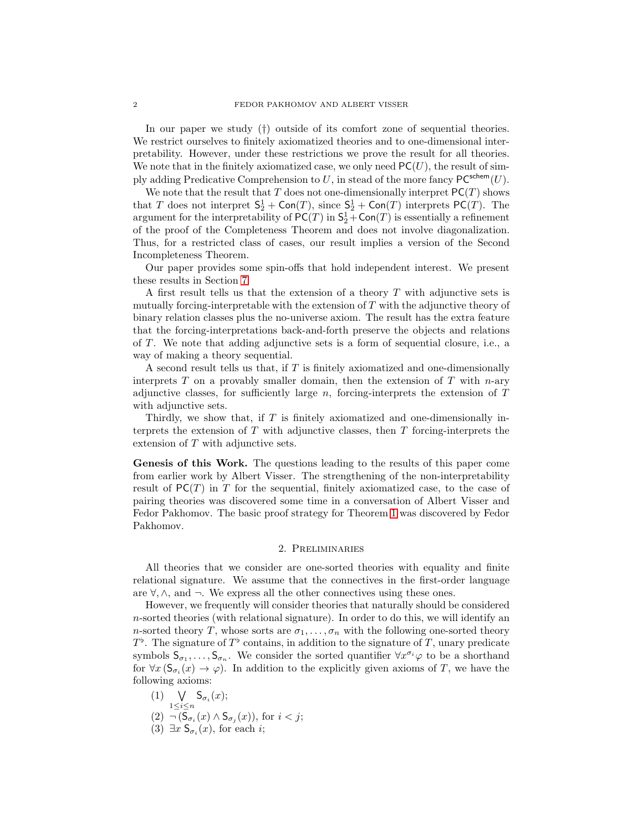In our paper we study (†) outside of its comfort zone of sequential theories. We restrict ourselves to finitely axiomatized theories and to one-dimensional interpretability. However, under these restrictions we prove the result for all theories. We note that in the finitely axiomatized case, we only need  $\mathsf{PC}(U)$ , the result of simply adding Predicative Comprehension to U, in stead of the more fancy  $PC^{schem}(U)$ .

We note that the result that  $T$  does not one-dimensionally interpret  $PC(T)$  shows that T does not interpret  $S_2^1$  + Con(T), since  $S_2^1$  + Con(T) interprets PC(T). The argument for the interpretability of  $PC(T)$  in  $S_2^1$  + Con(T) is essentially a refinement of the proof of the Completeness Theorem and does not involve diagonalization. Thus, for a restricted class of cases, our result implies a version of the Second Incompleteness Theorem.

Our paper provides some spin-offs that hold independent interest. We present these results in Section [7.](#page-8-0)

A first result tells us that the extension of a theory  $T$  with adjunctive sets is mutually forcing-interpretable with the extension of  $T$  with the adjunctive theory of binary relation classes plus the no-universe axiom. The result has the extra feature that the forcing-interpretations back-and-forth preserve the objects and relations of  $T$ . We note that adding adjunctive sets is a form of sequential closure, i.e., a way of making a theory sequential.

A second result tells us that, if T is finitely axiomatized and one-dimensionally interprets  $T$  on a provably smaller domain, then the extension of  $T$  with  $n$ -ary adjunctive classes, for sufficiently large  $n$ , forcing-interprets the extension of  $T$ with adjunctive sets.

Thirdly, we show that, if  $T$  is finitely axiomatized and one-dimensionally interprets the extension of  $T$  with adjunctive classes, then  $T$  forcing-interprets the extension of T with adjunctive sets.

Genesis of this Work. The questions leading to the results of this paper come from earlier work by Albert Visser. The strengthening of the non-interpretability result of  $PC(T)$  in T for the sequential, finitely axiomatized case, to the case of pairing theories was discovered some time in a conversation of Albert Visser and Fedor Pakhomov. The basic proof strategy for Theorem [1](#page-2-0) was discovered by Fedor Pakhomov.

## 2. Preliminaries

All theories that we consider are one-sorted theories with equality and finite relational signature. We assume that the connectives in the first-order language are  $\forall, \wedge$ , and  $\neg$ . We express all the other connectives using these ones.

However, we frequently will consider theories that naturally should be considered  $n$ -sorted theories (with relational signature). In order to do this, we will identify an n-sorted theory T, whose sorts are  $\sigma_1, \ldots, \sigma_n$  with the following one-sorted theory  $T^{\flat}$ . The signature of  $T^{\flat}$  contains, in addition to the signature of T, unary predicate symbols  $\mathsf{S}_{\sigma_1},\ldots,\mathsf{S}_{\sigma_n}$ . We consider the sorted quantifier  $\forall x^{\sigma_i}\varphi$  to be a shorthand for  $\forall x (\mathsf{S}_{\sigma_i}(x) \to \varphi)$ . In addition to the explicitly given axioms of T, we have the following axioms:

(1) W  $\bigvee_{1\leq i\leq n}\mathsf{S}_{\sigma_i}(x);$  $(2) \neg (S_{\sigma_i}(x) \wedge S_{\sigma_j}(x))$ , for  $i < j$ ;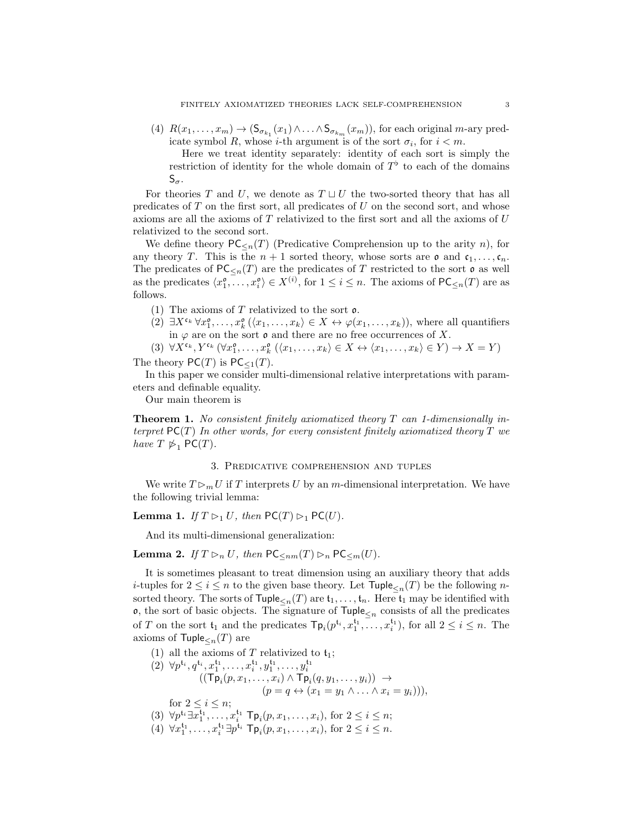(4)  $R(x_1, \ldots, x_m) \to (\mathsf{S}_{\sigma_{k_1}}(x_1) \land \ldots \land \mathsf{S}_{\sigma_{k_m}}(x_m))$ , for each original m-ary predicate symbol R, whose *i*-th argument is of the sort  $\sigma_i$ , for  $i < m$ .

Here we treat identity separately: identity of each sort is simply the restriction of identity for the whole domain of  $T^{\flat}$  to each of the domains  $\mathsf{S}_{\sigma}.$ 

For theories T and U, we denote as  $T \sqcup U$  the two-sorted theory that has all predicates of  $T$  on the first sort, all predicates of  $U$  on the second sort, and whose axioms are all the axioms of T relativized to the first sort and all the axioms of U relativized to the second sort.

We define theory  $PC_{\leq n}(T)$  (Predicative Comprehension up to the arity n), for any theory T. This is the  $n + 1$  sorted theory, whose sorts are  $\mathfrak{o}$  and  $\mathfrak{c}_1, \ldots, \mathfrak{c}_n$ . The predicates of  $PC_{\leq n}(T)$  are the predicates of T restricted to the sort  $\mathfrak o$  as well as the predicates  $\langle x_1^{\mathfrak{o}}, \ldots, x_i^{\mathfrak{o}} \rangle \in X^{(i)}$ , for  $1 \leq i \leq n$ . The axioms of  $\mathsf{PC}_{\leq n}(T)$  are as follows.

- (1) The axioms of T relativized to the sort  $\rho$ .
- $(2) \ \exists X^{\mathfrak{c}_k} \ \forall x_1^{\mathfrak{o}}, \ldots, x_k^{\mathfrak{o}} \ (\langle x_1, \ldots, x_k \rangle \in X \leftrightarrow \varphi(x_1, \ldots, x_k)),$  where all quantifiers in  $\varphi$  are on the sort  $\mathfrak o$  and there are no free occurrences of X.
- (3)  $\forall X^{\mathfrak{c}_k}, Y^{\mathfrak{c}_k} (\forall x_1^{\mathfrak{o}}, \ldots, x_k^{\mathfrak{o}} (\langle x_1, \ldots, x_k \rangle \in X \leftrightarrow \langle x_1, \ldots, x_k \rangle \in Y) \rightarrow X = Y)$

The theory  $PC(T)$  is  $PC_{\leq 1}(T)$ .

In this paper we consider multi-dimensional relative interpretations with parameters and definable equality.

Our main theorem is

<span id="page-2-0"></span>**Theorem 1.** No consistent finitely axiomatized theory  $T$  can 1-dimensionally interpret  $PC(T)$  In other words, for every consistent finitely axiomatized theory T we have  $T \not\triangleright_1 \mathsf{PC}(T)$ .

## 3. Predicative comprehension and tuples

<span id="page-2-3"></span>We write  $T \rhd_m U$  if T interprets U by an m-dimensional interpretation. We have the following trivial lemma:

# <span id="page-2-1"></span>**Lemma 1.** If  $T \rhd_1 U$ , then  $PC(T) \rhd_1 PC(U)$ .

And its multi-dimensional generalization:

# <span id="page-2-2"></span>**Lemma 2.** If  $T \rhd_n U$ , then  $PC_{\leq nm}(T) \rhd_n PC_{\leq m}(U)$ .

It is sometimes pleasant to treat dimension using an auxiliary theory that adds *i*-tuples for  $2 \le i \le n$  to the given base theory. Let  $\mathsf{Tuple}_{\le n}(T)$  be the following *n*sorted theory. The sorts of  $\mathsf{Tuple}_{\leq n}(T)$  are  $\mathfrak{t}_1, \ldots, \mathfrak{t}_n$ . Here  $\mathfrak{t}_1$  may be identified with o, the sort of basic objects. The signature of  $\mathsf{Tuple}_{\leq n}$  consists of all the predicates of T on the sort  $\mathfrak{t}_1$  and the predicates  $\mathsf{Tp}_i(p^{\mathfrak{t}_i}, x_1^{\mathfrak{t}_1}, \ldots, x_i^{\mathfrak{t}_1}),$  for all  $2 \leq i \leq n$ . The axioms of Tuple<sub> $\lt n$ </sub> $(T)$  are

(1) all the axioms of T relativized to  $t_1$ ;  $\overline{(2)} \ \forall p^{t_i}, q^{t_i}, x_1^{t_1}, \ldots, x_i^{t_1}, y_1^{t_1}, \ldots, y_i^{t_1}$ <br>  $((\mathsf{Tp}_i(p, x_1, \ldots, x_i) \wedge \mathsf{Tp}_i(q, y_1, \ldots, y_i)) \rightarrow$  $(p = q \leftrightarrow (x_1 = y_1 \land \dots \land x_i = y_i))),$ for  $2 \leq i \leq n$ ; (3)  $\forall p^{t_i} \exists x_1^{t_1}, \ldots, x_i^{t_1} \mathsf{T}_{\mathsf{P}_i}(p, x_1, \ldots, x_i), \text{ for } 2 \leq i \leq n;$ (4)  $\forall x_1^{t_1}, \ldots, x_i^{t_1} \exists p^{t_i} \mathsf{T}_{\mathsf{P}_i}(p, x_1, \ldots, x_i)$ , for  $2 \leq i \leq n$ .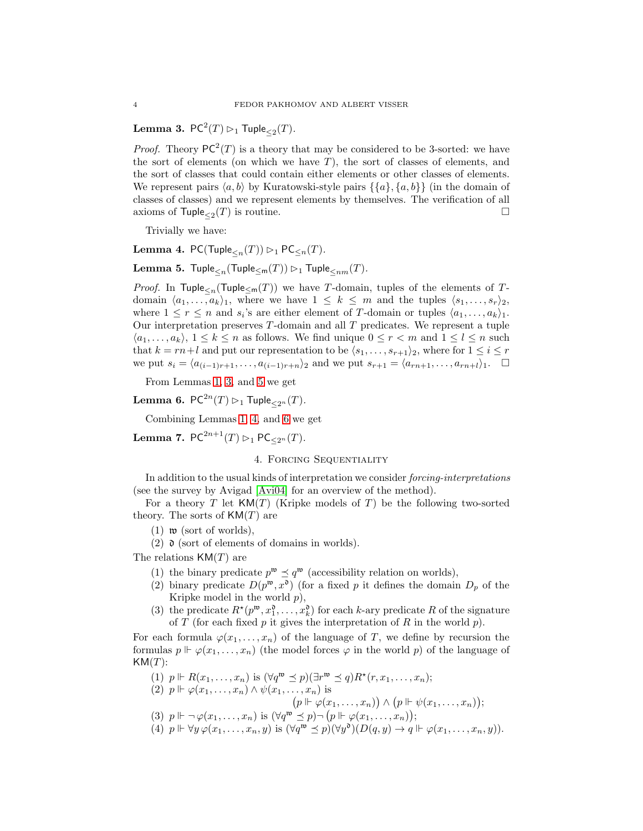<span id="page-3-0"></span>Lemma 3.  $PC^2(T) \rhd_1 \text{Tuple}_{\leq 2}(T)$ .

*Proof.* Theory  $PC^2(T)$  is a theory that may be considered to be 3-sorted: we have the sort of elements (on which we have  $T$ ), the sort of classes of elements, and the sort of classes that could contain either elements or other classes of elements. We represent pairs  $\langle a, b \rangle$  by Kuratowski-style pairs  $\{\{a\}, \{a, b\}\}\$  (in the domain of classes of classes) and we represent elements by themselves. The verification of all axioms of  $\mathsf{Tuple}_{\leq 2}(T)$  is routine.

Trivially we have:

<span id="page-3-2"></span>Lemma 4. PC(Tuple<sub> $\lt n$ </sub> $(T)$ )  $\triangleright_1$  PC<sub> $\leq n$ </sub> $(T)$ .

<span id="page-3-1"></span>Lemma 5. Tuple $\leq_n(\mathsf{Tuple}_{\leq m}(T)) \rhd_1 \mathsf{Tuple}_{\leq nm}(T)$ .

*Proof.* In Tuple<sub> $\leq n$ </sub>(Tuple<sub> $\leq m$ </sub>(T)) we have T-domain, tuples of the elements of Tdomain  $\langle a_1, \ldots, a_k \rangle_1$ , where we have  $1 \leq k \leq m$  and the tuples  $\langle s_1, \ldots, s_r \rangle_2$ , where  $1 \leq r \leq n$  and  $s_i$ 's are either element of T-domain or tuples  $\langle a_1, \ldots, a_k \rangle_1$ . Our interpretation preserves  $T$ -domain and all  $T$  predicates. We represent a tuple  $\langle a_1, \ldots, a_k \rangle, 1 \leq k \leq n$  as follows. We find unique  $0 \leq r < m$  and  $1 \leq l \leq n$  such that  $k = rn + l$  and put our representation to be  $\langle s_1, \ldots, s_{r+1} \rangle_2$ , where for  $1 \le i \le r$ we put  $s_i = \langle a_{(i-1)r+1}, \ldots, a_{(i-1)r+n} \rangle_2$  and we put  $s_{r+1} = \langle a_{rn+1}, \ldots, a_{rn+l} \rangle_1$ .  $\Box$ 

From Lemmas [1,](#page-2-1) [3,](#page-3-0) and [5](#page-3-1) we get

<span id="page-3-3"></span>**Lemma 6.**  $PC^{2n}(T) \rhd_1 \text{Tuple}_{\leq 2^n}(T)$ .

Combining Lemmas [1,](#page-2-1) [4,](#page-3-2) and [6](#page-3-3) we get

<span id="page-3-4"></span>Lemma 7.  $PC^{2n+1}(T) \rhd_1 PC_{\leq 2^n}(T)$ .

## 4. Forcing Sequentiality

In addition to the usual kinds of interpretation we consider forcing-interpretations (see the survey by Avigad [\[Avi04\]](#page-12-1) for an overview of the method).

For a theory T let  $KM(T)$  (Kripke models of T) be the following two-sorted theory. The sorts of  $KM(T)$  are

- $(1)$  **w** (sort of worlds),
- (2)  $\mathfrak d$  (sort of elements of domains in worlds).

The relations  $KM(T)$  are

- (1) the binary predicate  $p^{\mathfrak{w}} \preceq q^{\mathfrak{w}}$  (accessibility relation on worlds),
- (2) binary predicate  $D(p^{\mathfrak{w}}, x^{\mathfrak{d}})$  (for a fixed p it defines the domain  $D_p$  of the Kripke model in the world  $p$ ),
- (3) the predicate  $R^*(p^{\mathfrak{w}}, x_1^{\mathfrak{d}}, \ldots, x_k^{\mathfrak{d}})$  for each k-ary predicate R of the signature of T (for each fixed p it gives the interpretation of R in the world  $p$ ).

For each formula  $\varphi(x_1, \ldots, x_n)$  of the language of T, we define by recursion the formulas  $p \Vdash \varphi(x_1, \ldots, x_n)$  (the model forces  $\varphi$  in the world p) of the language of  $KM(T)$ :

(1)  $p \Vdash R(x_1,\ldots,x_n)$  is  $(\forall q^{\mathfrak{w}} \preceq p)(\exists r^{\mathfrak{w}} \preceq q)R^*(r,x_1,\ldots,x_n);$ (2)  $p \Vdash \varphi(x_1, \ldots, x_n) \wedge \psi(x_1, \ldots, x_n)$  is  $(p \Vdash \varphi(x_1, \ldots, x_n)) \wedge (p \Vdash \psi(x_1, \ldots, x_n));$ (3)  $p \Vdash \neg \varphi(x_1, \ldots, x_n)$  is  $(\forall q^{\mathfrak{w}} \preceq p) \neg (p \Vdash \varphi(x_1, \ldots, x_n));$ (4)  $p \Vdash \forall y \varphi(x_1,\ldots,x_n,y)$  is  $(\forall q^{\mathfrak{w}} \preceq p)(\forall y^{\mathfrak{d}})(D(q,y) \rightarrow q \Vdash \varphi(x_1,\ldots,x_n,y)).$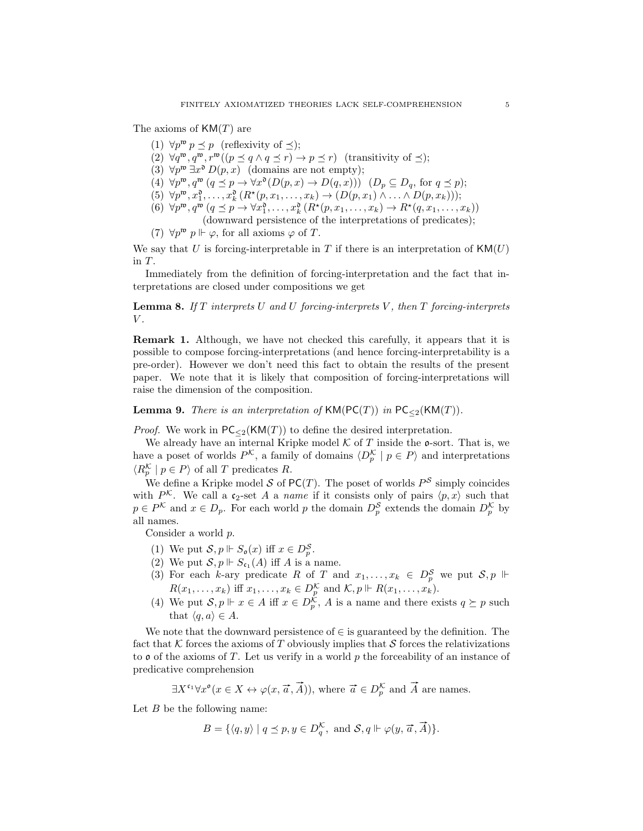The axioms of  $KM(T)$  are

- (1)  $\forall p^{\mathfrak{w}} p \preceq p$  (reflexivity of  $\preceq$ );
- $(2) \ \forall q^{\mathfrak{w}}, q^{\mathfrak{w}}, r^{\mathfrak{w}} \big((p \preceq q \land q \preceq r) \rightarrow p \preceq r)$  (transitivity of  $\preceq$ );
- (3)  $\forall p^{\mathfrak{w}} \exists x^{\mathfrak{d}} D(p,x)$  (domains are not empty);
- $(4)$   $\forall p^{\mathfrak{w}}, q^{\mathfrak{w}}$   $(q \preceq p \rightarrow \forall x^{\mathfrak{d}}(D(p,x) \rightarrow D(q,x)))$   $(D_p \subseteq D_q$ , for  $q \preceq p)$ ;
- (5)  $\forall p^{\mathfrak{w}}, x_1^{\mathfrak{d}}, \ldots, x_k^{\mathfrak{d}} \left( R^{\star}(p, x_1, \ldots, x_k) \rightarrow (D(p, x_1) \land \ldots \land D(p, x_k)) \right);$
- (6)  $\forall p^{\mathfrak{w}}, q^{\mathfrak{w}} \ (q \preceq p \rightarrow \forall x_1^{\mathfrak{d}}, \ldots, x_k^{\mathfrak{d}} \ (R^{\star}(p, x_1, \ldots, x_k) \rightarrow R^{\star}(q, x_1, \ldots, x_k))$ (downward persistence of the interpretations of predicates);
- (7)  $\forall p^{\mathfrak{w}} p \Vdash \varphi$ , for all axioms  $\varphi$  of T.

We say that U is forcing-interpretable in T if there is an interpretation of  $KM(U)$ in  $T$ .

Immediately from the definition of forcing-interpretation and the fact that interpretations are closed under compositions we get

<span id="page-4-1"></span>**Lemma 8.** If T interprets U and U forcing-interprets V, then T forcing-interprets  $V$ .

Remark 1. Although, we have not checked this carefully, it appears that it is possible to compose forcing-interpretations (and hence forcing-interpretability is a pre-order). However we don't need this fact to obtain the results of the present paper. We note that it is likely that composition of forcing-interpretations will raise the dimension of the composition.

<span id="page-4-0"></span>**Lemma 9.** There is an interpretation of  $KM(PC(T))$  in  $PC_{\leq 2}(KM(T))$ .

*Proof.* We work in  $PC_{\leq 2}$ (KM(T)) to define the desired interpretation.

We already have an internal Kripke model  $K$  of  $T$  inside the  $o$ -sort. That is, we have a poset of worlds  $P^{\mathcal{K}}$ , a family of domains  $\langle D_p^{\mathcal{K}} | p \in P \rangle$  and interpretations  $\langle R_p^{\mathcal{K}} \mid p \in P \rangle$  of all T predicates R.

We define a Kripke model S of  $PC(T)$ . The poset of worlds  $P^S$  simply coincides with  $P^{\mathcal{K}}$ . We call a c<sub>2</sub>-set A a name if it consists only of pairs  $\langle p, x \rangle$  such that  $p \in P^{\mathcal{K}}$  and  $x \in D_p$ . For each world p the domain  $D_p^{\mathcal{S}}$  extends the domain  $D_p^{\mathcal{K}}$  by all names.

Consider a world p.

- (1) We put  $S, p \Vdash S_o(x)$  iff  $x \in D_p^S$ .
- (2) We put  $S, p \Vdash S_{c_1}(A)$  iff A is a name.
- (3) For each k-ary predicate R of T and  $x_1, \ldots, x_k \in D_p^S$  we put  $S, p \Vdash$  $R(x_1, \ldots, x_k)$  iff  $x_1, \ldots, x_k \in D_{p}^{\mathcal{K}}$  and  $\mathcal{K}, p \Vdash R(x_1, \ldots, x_k)$ .
- (4) We put  $S, p \Vdash x \in A$  iff  $x \in D_p^{\mathcal{K}}$ , A is a name and there exists  $q \succeq p$  such that  $\langle q, a \rangle \in A$ .

We note that the downward persistence of  $\in$  is guaranteed by the definition. The fact that K forces the axioms of T obviously implies that S forces the relativizations to  $\mathfrak o$  of the axioms of T. Let us verify in a world p the forceability of an instance of predicative comprehension

$$
\exists X^{c_1} \forall x^o (x \in X \leftrightarrow \varphi(x, \vec{a}, \vec{A})),
$$
 where  $\vec{a} \in D_p^{\mathcal{K}}$  and  $\vec{A}$  are names.

Let  $B$  be the following name:

$$
B = \{ \langle q, y \rangle \mid q \preceq p, y \in D_q^{\mathcal{K}}, \text{ and } \mathcal{S}, q \Vdash \varphi(y, \overrightarrow{a}, \overrightarrow{A}) \}.
$$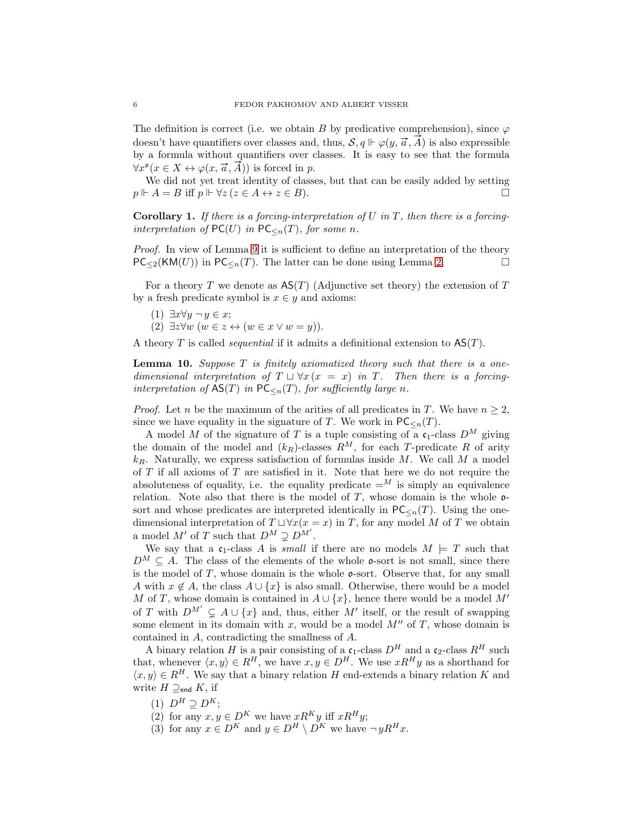The definition is correct (i.e. we obtain B by predicative comprehension), since  $\varphi$ The definition is correct (i.e. we obtain *B* by predicative comprehension), since  $\varphi$  doesn't have quantifiers over classes and, thus,  $S, q \Vdash \varphi(y, \vec{a}, \vec{A})$  is also expressible by a formula without quantifiers over classes. It is easy to see that the formula by a formula without quantifiers over  $\forall x^{\bullet}(x \in X \leftrightarrow \varphi(x, \vec{a}, \vec{A}))$  is forced in p.

We did not yet treat identity of classes, but that can be easily added by setting  $p \Vdash A = B$  iff  $p \Vdash \forall z (z \in A \leftrightarrow z \in B).$ 

<span id="page-5-1"></span>**Corollary 1.** If there is a forcing-interpretation of U in T, then there is a forcinginterpretation of  $PC(U)$  in  $PC_{\leq n}(T)$ , for some n.

Proof. In view of Lemma [9](#page-4-0) it is sufficient to define an interpretation of the theory  $PC_{\leq 2}(\text{KM}(U))$  in PC<sub><n</sub>(T). The latter can be done using Lemma [2.](#page-2-2)

For a theory T we denote as  $\mathsf{AS}(T)$  (Adjunctive set theory) the extension of T by a fresh predicate symbol is  $x \in y$  and axioms:

(1) ∃ $x\forall y \neg y \in x$ ;

(2)  $\exists z \forall w \ (w \in z \leftrightarrow (w \in x \vee w = y)).$ 

A theory T is called *sequential* if it admits a definitional extension to  $AS(T)$ .

<span id="page-5-0"></span>**Lemma 10.** Suppose  $T$  is finitely axiomatized theory such that there is a onedimensional interpretation of  $T \sqcup \forall x (x = x)$  in T. Then there is a forcinginterpretation of  $\mathsf{AS}(T)$  in  $\mathsf{PC}_{\leq n}(T)$ , for sufficiently large n.

*Proof.* Let n be the maximum of the arities of all predicates in T. We have  $n \geq 2$ , since we have equality in the signature of T. We work in  $PC_{\leq n}(T)$ .

A model M of the signature of T is a tuple consisting of a  $c_1$ -class  $D^M$  giving the domain of the model and  $(k_R)$ -classes  $R^M$ , for each T-predicate R of arity  $k_R$ . Naturally, we express satisfaction of formulas inside M. We call M a model of  $T$  if all axioms of  $T$  are satisfied in it. Note that here we do not require the absoluteness of equality, i.e. the equality predicate  $=$ <sup>M</sup> is simply an equivalence relation. Note also that there is the model of  $T$ , whose domain is the whole  $\mathfrak{o}$ sort and whose predicates are interpreted identically in  $PC_{\leq n}(T)$ . Using the onedimensional interpretation of  $T \sqcup \forall x(x = x)$  in T, for any model M of T we obtain a model M' of T such that  $D^M \supsetneq D^{M'}$ .

We say that a  $c_1$ -class A is *small* if there are no models  $M \models T$  such that  $D^M \subset A$ . The class of the elements of the whole **o**-sort is not small, since there is the model of  $T$ , whose domain is the whole  $\mathfrak{o}$ -sort. Observe that, for any small A with  $x \notin A$ , the class  $A \cup \{x\}$  is also small. Otherwise, there would be a model M of T, whose domain is contained in  $A \cup \{x\}$ , hence there would be a model M' of T with  $D^{M'} \subsetneq A \cup \{x\}$  and, thus, either M' itself, or the result of swapping some element in its domain with x, would be a model  $M''$  of T, whose domain is contained in A, contradicting the smallness of A.

A binary relation H is a pair consisting of a  $c_1$ -class  $D^H$  and a  $c_2$ -class  $R^H$  such that, whenever  $\langle x, y \rangle \in R^H$ , we have  $x, y \in D^H$ . We use  $xR^Hy$  as a shorthand for  $\langle x, y \rangle \in R^H$ . We say that a binary relation H end-extends a binary relation K and write  $H \supseteq_{\mathsf{end}} K$ , if

- (1)  $D^H \supset D^K$ ;
- (2) for any  $x, y \in D^K$  we have  $xR^{K}y$  iff  $xR^{H}y$ ;
- (3) for any  $x \in D^K$  and  $y \in D^H \setminus D^K$  we have  $\neg yR^H x$ .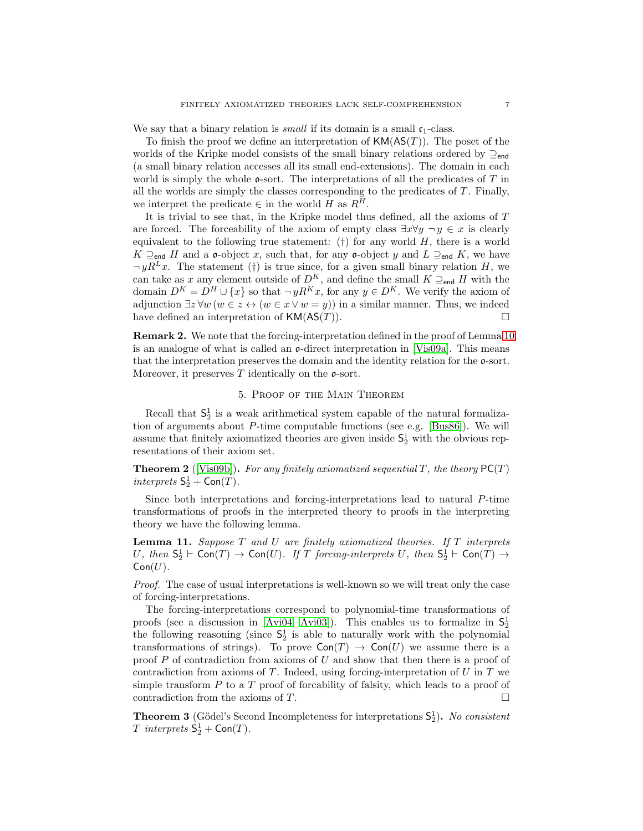We say that a binary relation is *small* if its domain is a small  $c_1$ -class.

To finish the proof we define an interpretation of  $KM(AS(T))$ . The poset of the worlds of the Kripke model consists of the small binary relations ordered by  $\supseteq_{\mathsf{end}}$ (a small binary relation accesses all its small end-extensions). The domain in each world is simply the whole  $\mathfrak o$ -sort. The interpretations of all the predicates of T in all the worlds are simply the classes corresponding to the predicates of  $T$ . Finally, we interpret the predicate  $\in$  in the world H as  $R^H$ .

It is trivial to see that, in the Kripke model thus defined, all the axioms of T are forced. The forceability of the axiom of empty class  $\exists x \forall y \neg y \in x$  is clearly equivalent to the following true statement: (†) for any world  $H$ , there is a world  $K \supseteq_{\text{end}} H$  and a  $\mathfrak o$ -object x, such that, for any  $\mathfrak o$ -object y and  $L \supseteq_{\text{end}} K$ , we have  $\neg yR^Lx$ . The statement (†) is true since, for a given small binary relation H, we can take as x any element outside of  $D^K$ , and define the small  $K \supseteq_{\mathsf{end}} H$  with the domain  $D^K = D^H \cup \{x\}$  so that  $\neg y R^K x$ , for any  $y \in D^K$ . We verify the axiom of adjunction  $\exists z \forall w (w \in z \leftrightarrow (w \in x \vee w = y))$  in a similar manner. Thus, we indeed have defined an interpretation of  $KM(AS(T))$ .

Remark 2. We note that the forcing-interpretation defined in the proof of Lemma [10](#page-5-0) is an analogue of what is called an  $\sigma$ -direct interpretation in [\[Vis09a\]](#page-12-2). This means that the interpretation preserves the domain and the identity relation for the  $o$ -sort. Moreover, it preserves  $T$  identically on the  $\mathfrak{o}$ -sort.

#### 5. Proof of the Main Theorem

Recall that  $S_2^1$  is a weak arithmetical system capable of the natural formalization of arguments about P-time computable functions (see e.g. [\[Bus86\]](#page-12-3)). We will assume that finitely axiomatized theories are given inside  $S_2^1$  with the obvious representations of their axiom set.

<span id="page-6-0"></span>**Theorem 2** ([\[Vis09b\]](#page-12-4)). For any finitely axiomatized sequential T, the theory  $PC(T)$ interprets  $S_2^1$  + Con(T).

Since both interpretations and forcing-interpretations lead to natural P-time transformations of proofs in the interpreted theory to proofs in the interpreting theory we have the following lemma.

<span id="page-6-1"></span>**Lemma 11.** Suppose  $T$  and  $U$  are finitely axiomatized theories. If  $T$  interprets U, then  $S_2^1 \vdash \textsf{Con}(T) \to \textsf{Con}(U)$ . If T forcing-interprets U, then  $S_2^1 \vdash \textsf{Con}(T) \to$  $Con(U)$ .

Proof. The case of usual interpretations is well-known so we will treat only the case of forcing-interpretations.

The forcing-interpretations correspond to polynomial-time transformations of proofs (see a discussion in [\[Avi04,](#page-12-1) [Avi03\]](#page-12-5)). This enables us to formalize in  $\mathsf{S}_2^1$ the following reasoning (since  $S_2^1$  is able to naturally work with the polynomial transformations of strings). To prove  $Con(T) \rightarrow Con(U)$  we assume there is a proof  $P$  of contradiction from axioms of  $U$  and show that then there is a proof of contradiction from axioms of T. Indeed, using forcing-interpretation of U in T we simple transform  $P$  to a  $T$  proof of forcability of falsity, which leads to a proof of contradiction from the axioms of  $T$ .

<span id="page-6-2"></span>**Theorem 3** (Gödel's Second Incompleteness for interpretations  $S_2^1$ ). No consistent T interprets  $S_2^1$  + Con(T).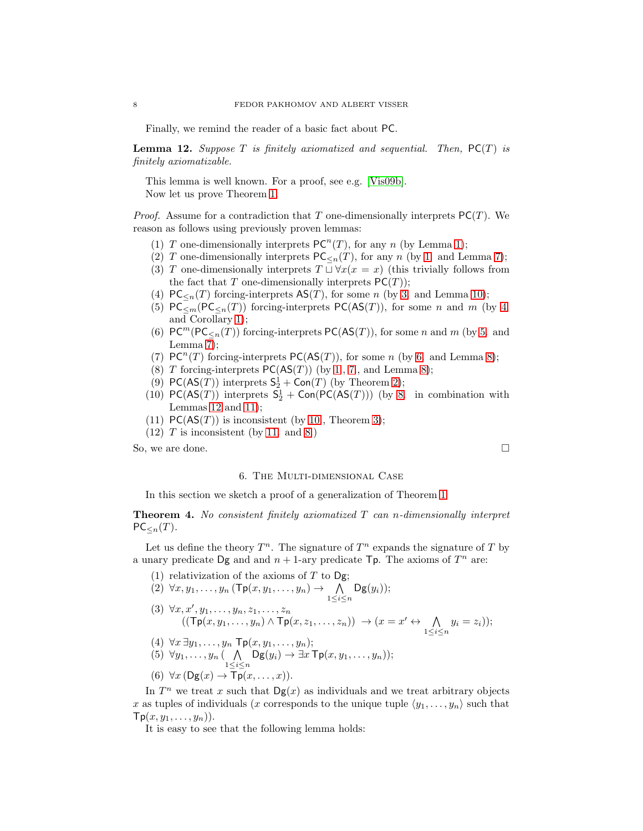Finally, we remind the reader of a basic fact about PC.

<span id="page-7-7"></span>**Lemma 12.** Suppose T is finitely axiomatized and sequential. Then,  $PC(T)$  is finitely axiomatizable.

This lemma is well known. For a proof, see e.g. [\[Vis09b\]](#page-12-4). Now let us prove Theorem [1.](#page-2-0)

<span id="page-7-0"></span>*Proof.* Assume for a contradiction that T one-dimensionally interprets  $PC(T)$ . We reason as follows using previously proven lemmas:

- (1) T one-dimensionally interprets  $PC<sup>n</sup>(T)$ , for any n (by Lemma [1\)](#page-2-1);
- <span id="page-7-1"></span>(2) T one-dimensionally interprets  $PC_{\leq n}(T)$ , for any n (by [1.](#page-7-0) and Lemma [7\)](#page-3-4);
- <span id="page-7-2"></span>(3) T one-dimensionally interprets  $T \sqcup \forall x(x = x)$  (this trivially follows from the fact that T one-dimensionally interprets  $PC(T)$ ;
- <span id="page-7-3"></span>(4)  $PC_{\leq n}(T)$  forcing-interprets  $AS(T)$ , for some n (by [3.](#page-7-1) and Lemma [10\)](#page-5-0);
- (5)  $PC_{\leq m}(PC_{\leq n}(T))$  forcing-interprets  $PC(AS(T))$ , for some n and m (by [4.](#page-7-2) and Corollary [1\)](#page-5-1);
- <span id="page-7-4"></span>(6)  $PC^m(PC_{\leq n}(T))$  forcing-interprets PC(AS(T)), for some n and m (by [5.](#page-7-3) and Lemma [7\)](#page-3-4);
- <span id="page-7-6"></span><span id="page-7-5"></span>(7)  $PC<sup>n</sup>(T)$  forcing-interprets  $PC(AS(T))$ , for some n (by [6.](#page-7-4) and Lemma [8\)](#page-4-1);
- (8) T forcing-interprets  $PC(AS(T))$  (by [1.](#page-7-0), [7.](#page-7-5), and Lemma [8\)](#page-4-1);
- <span id="page-7-8"></span>(9)  $PC(AS(T))$  interprets  $S_2^1 + Con(T)$  (by Theorem [2\)](#page-6-0);
- (10)  $PC(AS(T))$  interprets  $S_2^1 + Con(PC(AS(T)))$  (by [8.](#page-7-6) in combination with Lemmas  $12$  and  $11$ );
- <span id="page-7-9"></span>(11)  $PC(AS(T))$  is inconsistent (by [10.](#page-7-8), Theorem [3\)](#page-6-2);
- $(12)$  T is inconsistent (by [11.](#page-7-9) and [8.](#page-7-6))

So, we are done.

#### 6. The Multi-dimensional Case

In this section we sketch a proof of a generalization of Theorem [1](#page-2-0)

<span id="page-7-10"></span>**Theorem 4.** No consistent finitely axiomatized  $T$  can n-dimensionally interpret  $PC_{\leq n}(T)$ .

Let us define the theory  $T^n$ . The signature of  $T^n$  expands the signature of T by a unary predicate Dg and and  $n + 1$ -ary predicate Tp. The axioms of  $T^n$  are:

(1) relativization of the axioms of  $T$  to Dg;  $(2) \forall x, y_1, \ldots, y_n (\textsf{Tp}(x, y_1, \ldots, y_n) \rightarrow \textsf{p}(y_i));$ (3) ∀x, x', y<sub>1</sub>, ..., y<sub>n</sub>, z<sub>1</sub>, ..., z<sub>n</sub> 1≤i≤n  $((\mathsf{Tp}(x, y_1, \ldots, y_n) \wedge \mathsf{Tp}(x, z_1, \ldots, z_n)) \rightarrow (x = x' \leftrightarrow \wedge)$  $\bigwedge_{1\leq i\leq n}y_i=z_i)\big);$  $(4) \forall x \exists y_1, \ldots, y_n$  Tp $(x, y_1, \ldots, y_n);$  $(5) \forall y_1, \ldots, y_n \left( \begin{array}{c} \Lambda \end{array} \right)$  $\bigwedge_{1 \leq i \leq n} \mathsf{Dg}(y_i) \to \exists x \mathsf{Tp}(x, y_1, \ldots, y_n));$ (6)  $\forall x \left( \mathsf{Dg}(x) \rightarrow \overline{\mathsf{Tp}}(x, \ldots, x) \right).$ 

In  $T^n$  we treat x such that  $\mathsf{Dg}(x)$  as individuals and we treat arbitrary objects x as tuples of individuals (x corresponds to the unique tuple  $\langle y_1, \ldots, y_n \rangle$  such that  $\mathsf{Tp}(x, y_1, \ldots, y_n)).$ 

It is easy to see that the following lemma holds: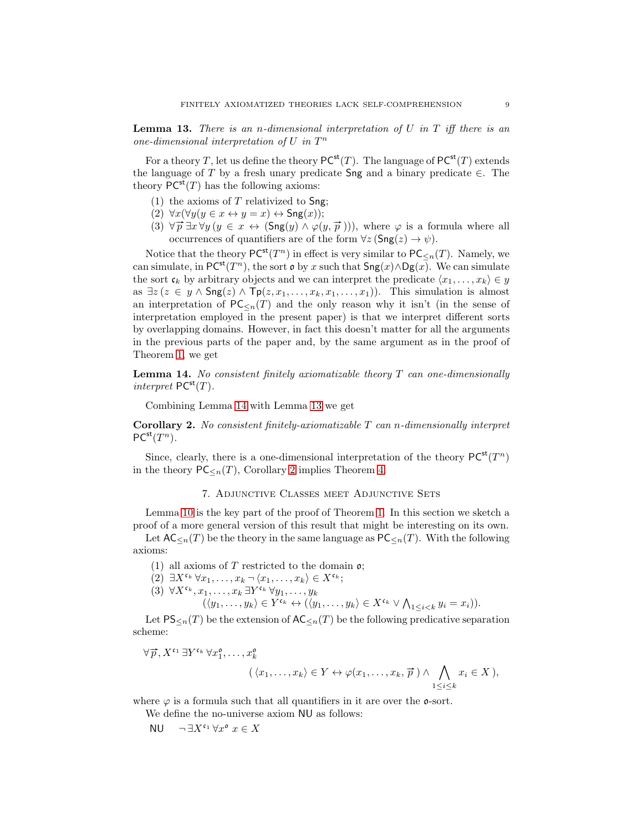<span id="page-8-2"></span>**Lemma 13.** There is an n-dimensional interpretation of U in  $T$  iff there is an one-dimensional interpretation of  $U$  in  $T^n$ 

For a theory T, let us define the theory  $PC^{\mathsf{st}}(T)$ . The language of  $PC^{\mathsf{st}}(T)$  extends the language of T by a fresh unary predicate Sng and a binary predicate  $\in$ . The theory  $PC^{st}(T)$  has the following axioms:

- (1) the axioms of  $T$  relativized to Sng;
- (2)  $\forall x (\forall y (y \in x \leftrightarrow y = x) \leftrightarrow \mathsf{Sng}(x));$
- (2)  $\forall x(\forall y(y \in x \lor y = x) \lor \forall \exists n g(x)),$ <br>(3)  $\forall \vec{p} \exists x \forall y (y \in x \leftrightarrow (\mathsf{Sng}(y) \land \varphi(y, \vec{p})))$ , where  $\varphi$  is a formula where all occurrences of quantifiers are of the form  $\forall z (\textsf{Sng}(z) \rightarrow \psi)$ .

Notice that the theory  $PC^{st}(T^n)$  in effect is very similar to  $PC_{\leq n}(T)$ . Namely, we can simulate, in  $PC^{st}(T^n)$ , the sort  $\mathfrak o$  by x such that  $\mathsf{Sng}(x) \wedge \mathsf{Dg}(x)$ . We can simulate the sort  $c_k$  by arbitrary objects and we can interpret the predicate  $\langle x_1, \ldots, x_k \rangle \in y$ as  $\exists z (z \in y \land \mathsf{Sng}(z) \land \mathsf{Tp}(z, x_1, \ldots, x_k, x_1, \ldots, x_1)).$  This simulation is almost an interpretation of  $PC_{\leq n}(T)$  and the only reason why it isn't (in the sense of interpretation employed in the present paper) is that we interpret different sorts by overlapping domains. However, in fact this doesn't matter for all the arguments in the previous parts of the paper and, by the same argument as in the proof of Theorem [1,](#page-2-0) we get

<span id="page-8-1"></span>**Lemma 14.** No consistent finitely axiomatizable theory  $T$  can one-dimensionally interpret  $PC<sup>st</sup>(T)$ .

Combining Lemma [14](#page-8-1) with Lemma [13](#page-8-2) we get

<span id="page-8-3"></span>**Corollary 2.** No consistent finitely-axiomatizable  $T$  can n-dimensionally interpret  $PC^{\rm st}(T^n)$ .

<span id="page-8-0"></span>Since, clearly, there is a one-dimensional interpretation of the theory  $PC^{st}(T^n)$ in the theory  $PC_{\leq n}(T)$ , Corollary [2](#page-8-3) implies Theorem [4.](#page-7-10)

### 7. Adjunctive Classes meet Adjunctive Sets

Lemma [10](#page-5-0) is the key part of the proof of Theorem [1.](#page-2-0) In this section we sketch a proof of a more general version of this result that might be interesting on its own.

Let  $AC_{\leq n}(T)$  be the theory in the same language as  $PC_{\leq n}(T)$ . With the following axioms:

- (1) all axioms of T restricted to the domain  $\mathfrak{o}$ ;
- $(2) \ \exists X^{\mathfrak{c}_k} \forall x_1, \ldots, x_k \neg \langle x_1, \ldots, x_k \rangle \in X^{\mathfrak{c}_k};$
- $(3) \ \ \forall X^{\boldsymbol{\mathfrak e_k}}, x_1, \dots, x_k \ \exists Y^{\boldsymbol{\mathfrak e_k}} \ \forall y_1, \dots, y_k$

$$
(\langle y_1,\ldots,y_k\rangle\in Y^{\mathfrak{c}_k}\leftrightarrow (\langle y_1,\ldots,y_k\rangle\in X^{\mathfrak{c}_k}\vee\bigwedge_{1\leq i
$$

Let  $PS_{\leq n}(T)$  be the extension of  $AC_{\leq n}(T)$  be the following predicative separation scheme:

$$
\forall \vec{p}, X^{\epsilon_1} \exists Y^{\epsilon_k} \forall x_1^{\mathfrak{o}}, \dots, x_k^{\mathfrak{o}} \quad (\langle x_1, \dots, x_k \rangle \in Y \leftrightarrow \varphi(x_1, \dots, x_k, \vec{p}) \land \bigwedge_{1 \leq i \leq k} x_i \in X),
$$

where  $\varphi$  is a formula such that all quantifiers in it are over the  $\varphi$ -sort.

We define the no-universe axiom NU as follows:

$$
\mathsf{NU} \quad \neg\,\exists X^{\mathfrak{c}_1} \,\forall x^\mathfrak{o}\ x \in X
$$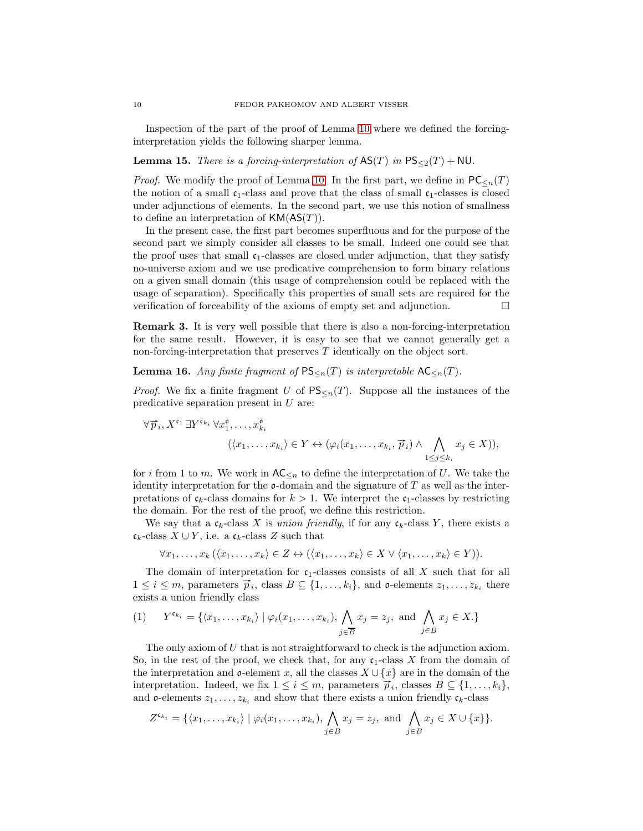Inspection of the part of the proof of Lemma [10](#page-5-0) where we defined the forcinginterpretation yields the following sharper lemma.

# <span id="page-9-2"></span>**Lemma 15.** There is a forcing-interpretation of  $AS(T)$  in  $PS_{\leq 2}(T) + NU$ .

*Proof.* We modify the proof of Lemma [10.](#page-5-0) In the first part, we define in  $PC_{\leq n}(T)$ the notion of a small  $c_1$ -class and prove that the class of small  $c_1$ -classes is closed under adjunctions of elements. In the second part, we use this notion of smallness to define an interpretation of  $KM(AS(T))$ .

In the present case, the first part becomes superfluous and for the purpose of the second part we simply consider all classes to be small. Indeed one could see that the proof uses that small  $c_1$ -classes are closed under adjunction, that they satisfy no-universe axiom and we use predicative comprehension to form binary relations on a given small domain (this usage of comprehension could be replaced with the usage of separation). Specifically this properties of small sets are required for the verification of forceability of the axioms of empty set and adjunction.

Remark 3. It is very well possible that there is also a non-forcing-interpretation for the same result. However, it is easy to see that we cannot generally get a non-forcing-interpretation that preserves T identically on the object sort.

<span id="page-9-1"></span>**Lemma 16.** Any finite fragment of  $PS_{\leq n}(T)$  is interpretable  $AC_{\leq n}(T)$ .

*Proof.* We fix a finite fragment U of  $PS_{\leq n}(T)$ . Suppose all the instances of the predicative separation present in U are:

$$
\{\overrightarrow{p}_i, X^{\epsilon_1} \exists Y^{\epsilon_{k_i}} \forall x_1^{\mathfrak{o}}, \dots, x_{k_i}^{\mathfrak{o}}\} \in Y \leftrightarrow (\varphi_i(x_1, \dots, x_{k_i}, \overrightarrow{p}_i) \land \bigwedge_{1 \leq j \leq k_i} x_j \in X)),
$$

for i from 1 to m. We work in  $AC_{\leq n}$  to define the interpretation of U. We take the identity interpretation for the  $\mathfrak o$ -domain and the signature of T as well as the interpretations of  $\mathfrak{c}_k$ -class domains for  $k > 1$ . We interpret the  $\mathfrak{c}_1$ -classes by restricting the domain. For the rest of the proof, we define this restriction.

We say that a  $\mathfrak{c}_k$ -class X is union friendly, if for any  $\mathfrak{c}_k$ -class Y, there exists a  $\mathfrak{c}_k$ -class  $X \cup Y$ , i.e. a  $\mathfrak{c}_k$ -class Z such that

$$
\forall x_1, \ldots, x_k \ (\langle x_1, \ldots, x_k \rangle \in Z \leftrightarrow (\langle x_1, \ldots, x_k \rangle \in X \vee \langle x_1, \ldots, x_k \rangle \in Y)).
$$

The domain of interpretation for  $c_1$ -classes consists of all X such that for all  $1 \leq i \leq m$ , parameters  $\vec{p}_i$ , class  $B \subseteq \{1, \ldots, k_i\}$ , and  $\mathfrak{o}$ -elements  $z_1, \ldots, z_{k_i}$  there exists a union friendly class

<span id="page-9-0"></span>(1) 
$$
Y^{\mathfrak{c}_{k_i}} = \{ \langle x_1, \ldots, x_{k_i} \rangle \mid \varphi_i(x_1, \ldots, x_{k_i}), \bigwedge_{j \in \overline{B}} x_j = z_j, \text{ and } \bigwedge_{j \in B} x_j \in X. \}
$$

The only axiom of U that is not straightforward to check is the adjunction axiom. So, in the rest of the proof, we check that, for any  $c_1$ -class X from the domain of the interpretation and  $\mathfrak{o}$ -element x, all the classes  $X \cup \{x\}$  are in the domain of the interpretation. Indeed, we fix  $1 \leq i \leq m$ , parameters  $\vec{p}_i$ , classes  $B \subseteq \{1, \ldots, k_i\}$ , and  $o$ -elements  $z_1, \ldots, z_{k_i}$  and show that there exists a union friendly  $c_k$ -class

$$
Z^{\mathfrak{c}_{k_i}} = \{ \langle x_1, \ldots, x_{k_i} \rangle \mid \varphi_i(x_1, \ldots, x_{k_i}), \bigwedge_{j \in B} x_j = z_j, \text{ and } \bigwedge_{j \in B} x_j \in X \cup \{x\} \}.
$$

∀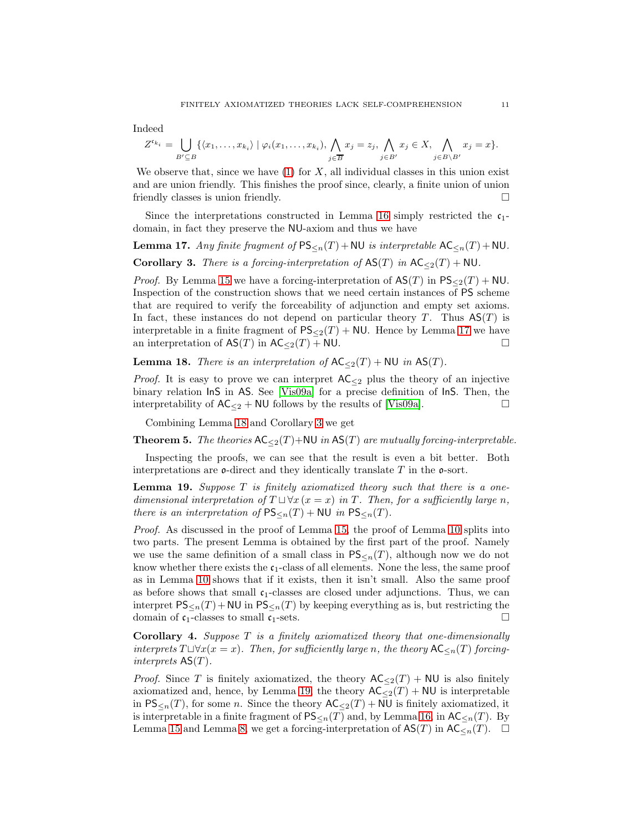Indeed

$$
Z^{\mathfrak{c}_{k_i}} = \bigcup_{B' \subseteq B} \{ \langle x_1, \ldots, x_{k_i} \rangle \mid \varphi_i(x_1, \ldots, x_{k_i}), \bigwedge_{j \in \overline{B}} x_j = z_j, \bigwedge_{j \in B'} x_j \in X, \bigwedge_{j \in B \setminus B'} x_j = x \}.
$$

We observe that, since we have  $(1)$  for  $X$ , all individual classes in this union exist and are union friendly. This finishes the proof since, clearly, a finite union of union friendly classes is union friendly.

Since the interpretations constructed in Lemma [16](#page-9-1) simply restricted the  $c_1$ domain, in fact they preserve the NU-axiom and thus we have

<span id="page-10-2"></span><span id="page-10-0"></span>**Lemma 17.** Any finite fragment of  $PS_{\leq n}(T) + \text{NU}$  is interpretable  $AC_{\leq n}(T) + \text{NU}$ . Corollary 3. There is a forcing-interpretation of  $\mathsf{AS}(T)$  in  $\mathsf{AC}_{\leq 2}(T) + \mathsf{NU}$ .

*Proof.* By Lemma [15](#page-9-2) we have a forcing-interpretation of  $AS(T)$  in  $PS_{\leq 2}(T) + NU$ . Inspection of the construction shows that we need certain instances of PS scheme that are required to verify the forceability of adjunction and empty set axioms. In fact, these instances do not depend on particular theory T. Thus  $AS(T)$  is interpretable in a finite fragment of  $PS_{\leq 2}(T) + \text{NU}$ . Hence by Lemma [17](#page-10-0) we have an interpretation of  $AS(T)$  in  $AC_{\leq 2}(T) + \text{NU}$ .

<span id="page-10-1"></span>**Lemma 18.** There is an interpretation of  $AC_{\leq 2}(T) + NU$  in  $AS(T)$ .

*Proof.* It is easy to prove we can interpret  $AC_{\leq 2}$  plus the theory of an injective binary relation InS in AS. See [\[Vis09a\]](#page-12-2) for a precise definition of InS. Then, the interpretability of  $AC_{\leq 2}$  + NU follows by the results of [\[Vis09a\]](#page-12-2).

Combining Lemma [18](#page-10-1) and Corollary [3](#page-10-2) we get

**Theorem 5.** The theories  $AC_{\leq 2}(T)$ +NU in  $AS(T)$  are mutually forcing-interpretable.

Inspecting the proofs, we can see that the result is even a bit better. Both interpretations are  $\mathfrak o$ -direct and they identically translate T in the  $\mathfrak o$ -sort.

<span id="page-10-3"></span>**Lemma 19.** Suppose  $T$  is finitely axiomatized theory such that there is a onedimensional interpretation of  $T \sqcup \forall x (x = x)$  in T. Then, for a sufficiently large n, there is an interpretation of  $PS_{\leq n}(T) + \text{NU}$  in  $PS_{\leq n}(T)$ .

Proof. As discussed in the proof of Lemma [15,](#page-9-2) the proof of Lemma [10](#page-5-0) splits into two parts. The present Lemma is obtained by the first part of the proof. Namely we use the same definition of a small class in  $PS_{\leq n}(T)$ , although now we do not know whether there exists the  $c_1$ -class of all elements. None the less, the same proof as in Lemma [10](#page-5-0) shows that if it exists, then it isn't small. Also the same proof as before shows that small  $c_1$ -classes are closed under adjunctions. Thus, we can interpret  $PS_{\leq n}(T) + \text{NU in } PS_{\leq n}(T)$  by keeping everything as is, but restricting the domain of  $c_1$ -classes to small  $c_1$ -sets.

<span id="page-10-4"></span>**Corollary 4.** Suppose  $T$  is a finitely axiomatized theory that one-dimensionally interprets  $T \sqcup \forall x(x = x)$ . Then, for sufficiently large n, the theory  $AC_{\leq n}(T)$  forcinginterprets  $AS(T)$ .

*Proof.* Since T is finitely axiomatized, the theory  $AC_{\leq 2}(T) + \text{NU}$  is also finitely axiomatized and, hence, by Lemma [19,](#page-10-3) the theory  $AC_{\leq 2}(T) + NU$  is interpretable in  $PS_{\leq n}(T)$ , for some n. Since the theory  $AC_{\leq 2}(T) + \text{NU}$  is finitely axiomatized, it is interpretable in a finite fragment of  $PS_{\leq n}(T)$  and, by Lemma [16,](#page-9-1) in  $AC_{\leq n}(T)$ . By Lemma [15](#page-9-2) and Lemma [8,](#page-4-1) we get a forcing-interpretation of  $\mathsf{AS}(T)$  in  $\mathsf{AC}_{\leq n}(T)$ .  $\Box$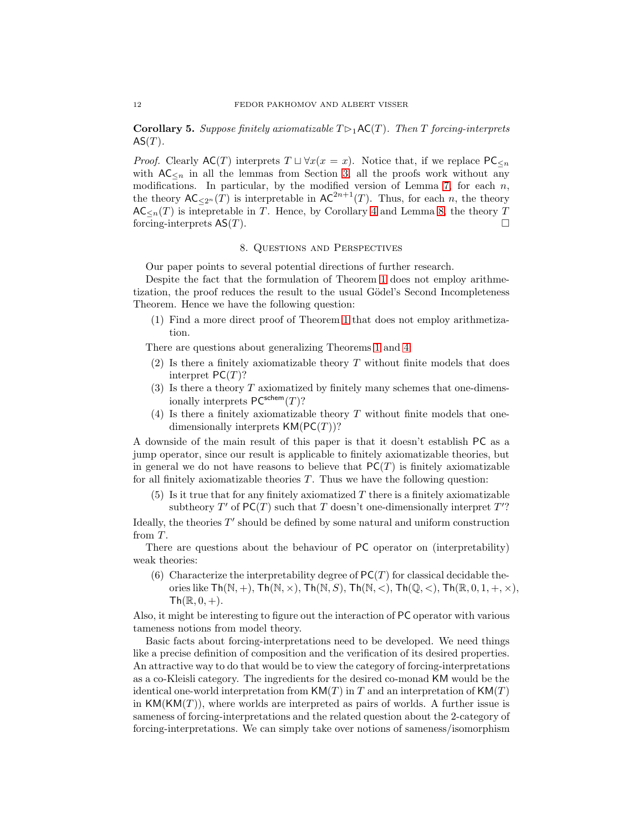Corollary 5. Suppose finitely axiomatizable  $T \triangleright_1 {\sf AC}(T)$ . Then T forcing-interprets  $AS(T)$ .

*Proof.* Clearly  $AC(T)$  interprets  $T \sqcup \forall x (x = x)$ . Notice that, if we replace  $PC_{\leq n}$ with  $AC_{\leq n}$  in all the lemmas from Section [3,](#page-2-3) all the proofs work without any modifications. In particular, by the modified version of Lemma [7,](#page-3-4) for each  $n$ , the theory  $AC_{\leq 2^n}(T)$  is interpretable in  $AC^{2n+1}(T)$ . Thus, for each n, the theory  $AC_{\leq n}(T)$  is intepretable in T. Hence, by Corollary [4](#page-10-4) and Lemma [8,](#page-4-1) the theory T forcing-interprets  $AS(T)$ .

### 8. Questions and Perspectives

Our paper points to several potential directions of further research.

Despite the fact that the formulation of Theorem [1](#page-2-0) does not employ arithmetization, the proof reduces the result to the usual Gödel's Second Incompleteness Theorem. Hence we have the following question:

(1) Find a more direct proof of Theorem [1](#page-2-0) that does not employ arithmetization.

There are questions about generalizing Theorems [1](#page-2-0) and [4:](#page-7-10)

- (2) Is there a finitely axiomatizable theory  $T$  without finite models that does interpret  $PC(T)$ ?
- (3) Is there a theory T axiomatized by finitely many schemes that one-dimensionally interprets  $PC^{schem}(T)$ ?
- (4) Is there a finitely axiomatizable theory  $T$  without finite models that onedimensionally interprets  $KM(PC(T))$ ?

A downside of the main result of this paper is that it doesn't establish PC as a jump operator, since our result is applicable to finitely axiomatizable theories, but in general we do not have reasons to believe that  $PC(T)$  is finitely axiomatizable for all finitely axiomatizable theories  $T$ . Thus we have the following question:

 $(5)$  Is it true that for any finitely axiomatized T there is a finitely axiomatizable subtheory  $T'$  of  $PC(T)$  such that T doesn't one-dimensionally interpret  $T'$ ?

Ideally, the theories  $T'$  should be defined by some natural and uniform construction from  $T$ .

There are questions about the behaviour of PC operator on (interpretability) weak theories:

(6) Characterize the interpretability degree of  $PC(T)$  for classical decidable theories like  $\mathsf{Th}(\mathbb{N}, +)$ ,  $\mathsf{Th}(\mathbb{N}, \times)$ ,  $\mathsf{Th}(\mathbb{N}, S)$ ,  $\mathsf{Th}(\mathbb{N}, <)$ ,  $\mathsf{Th}(\mathbb{Q}, <)$ ,  $\mathsf{Th}(\mathbb{R}, 0, 1, +, \times)$ ,  $\mathsf{Th}(\mathbb{R},0,+)$ .

Also, it might be interesting to figure out the interaction of PC operator with various tameness notions from model theory.

Basic facts about forcing-interpretations need to be developed. We need things like a precise definition of composition and the verification of its desired properties. An attractive way to do that would be to view the category of forcing-interpretations as a co-Kleisli category. The ingredients for the desired co-monad KM would be the identical one-world interpretation from  $KM(T)$  in T and an interpretation of  $KM(T)$ in  $KM(KM(T))$ , where worlds are interpreted as pairs of worlds. A further issue is sameness of forcing-interpretations and the related question about the 2-category of forcing-interpretations. We can simply take over notions of sameness/isomorphism